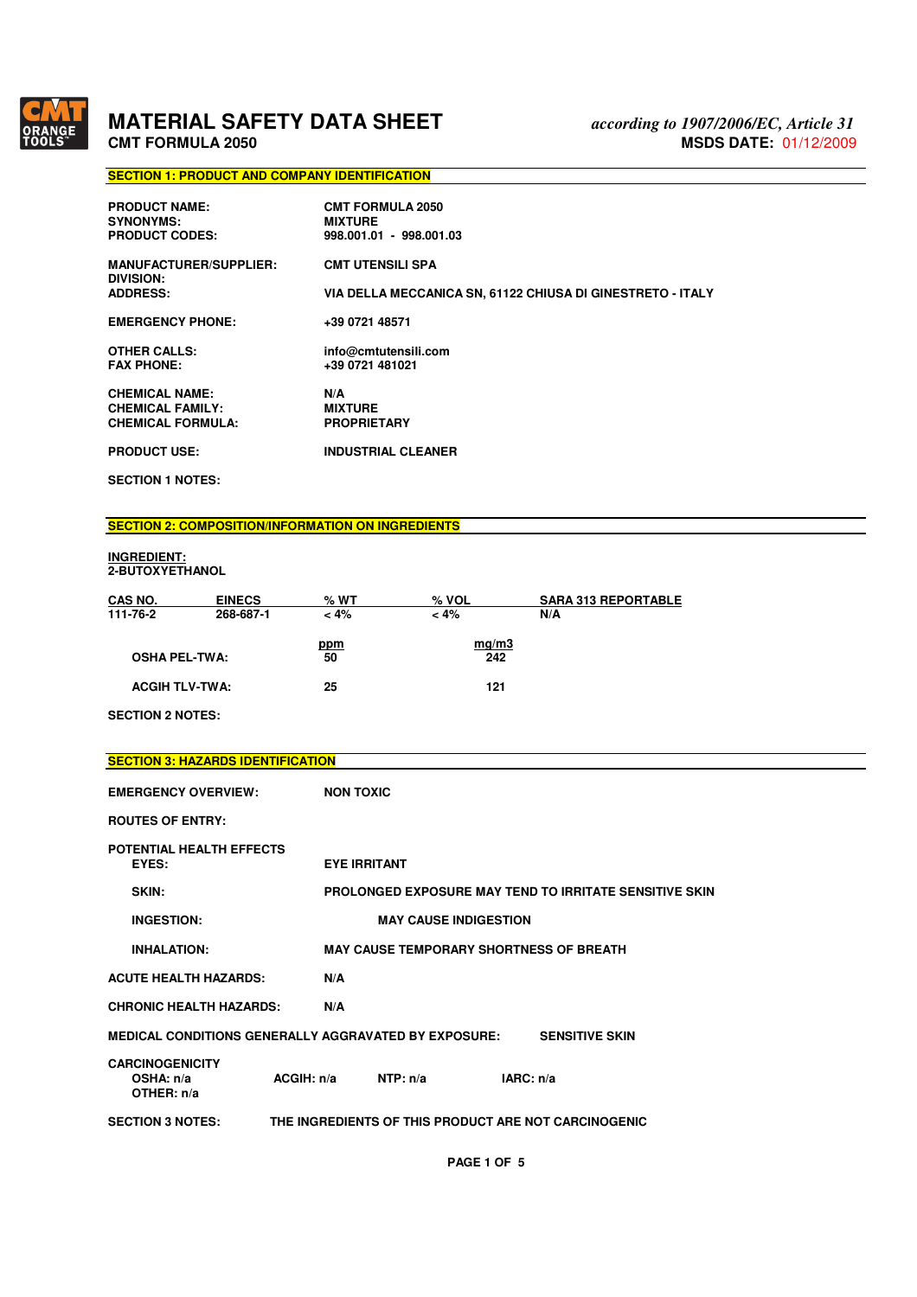

# **MATERIAL SAFETY DATA SHEET** CMT FORMULA 2050

# **SECTION 1: PRODUCT AND COMPANY IDENTIFICATION**

| <b>PRODUCT NAME:</b><br><b>SYNONYMS:</b><br><b>PRODUCT CODES:</b> | <b>CMT FORMULA 2050</b><br><b>MIXTURE</b><br>998.001.01 - 998.001.03 |
|-------------------------------------------------------------------|----------------------------------------------------------------------|
| <b>MANUFACTURER/SUPPLIER:</b><br>DIVISION:                        | <b>CMT UTENSILI SPA</b>                                              |
| <b>ADDRESS:</b>                                                   | VIA DELLA MECCANICA SN, 61122 CHIUSA DI GINESTRETO - ITALY           |
| <b>EMERGENCY PHONE:</b>                                           | +39 0721 48571                                                       |
| <b>OTHER CALLS:</b><br><b>FAX PHONE:</b>                          | info@cmtutensili.com<br>+39 0721 481021                              |
| <b>CHEMICAL NAME:</b>                                             | N/A                                                                  |
| <b>CHEMICAL FAMILY:</b>                                           | <b>MIXTURE</b>                                                       |
| <b>CHEMICAL FORMULA:</b>                                          | <b>PROPRIETARY</b>                                                   |
| <b>PRODUCT USE:</b>                                               | <b>INDUSTRIAL CLEANER</b>                                            |

**SECTION 1 NOTES:** 

# **SECTION 2: COMPOSITION/INFORMATION ON INGREDIENTS**

### **INGREDIENT: 2-BUTOXYETHANOL**

| CAS NO.               | <b>EINECS</b> | % WT      | $%$ VOL      | <b>SARA 313 REPORTABLE</b> |
|-----------------------|---------------|-----------|--------------|----------------------------|
| 111-76-2              | 268-687-1     | $< 4\%$   | $< 4\%$      | N/A                        |
| <b>OSHA PEL-TWA:</b>  |               | ppm<br>50 | mq/m3<br>242 |                            |
| <b>ACGIH TLV-TWA:</b> |               | 25        | 121          |                            |

**SECTION 2 NOTES:** 

| <b>SECTION 3: HAZARDS IDENTIFICATION</b>             |            |                                                      |           |                                                               |
|------------------------------------------------------|------------|------------------------------------------------------|-----------|---------------------------------------------------------------|
| <b>EMERGENCY OVERVIEW:</b>                           |            | <b>NON TOXIC</b>                                     |           |                                                               |
| <b>ROUTES OF ENTRY:</b>                              |            |                                                      |           |                                                               |
| <b>POTENTIAL HEALTH EFFECTS</b><br>EYES:             |            | <b>EYE IRRITANT</b>                                  |           |                                                               |
| SKIN:                                                |            |                                                      |           | <b>PROLONGED EXPOSURE MAY TEND TO IRRITATE SENSITIVE SKIN</b> |
| <b>INGESTION:</b>                                    |            | <b>MAY CAUSE INDIGESTION</b>                         |           |                                                               |
| <b>INHALATION:</b>                                   |            | <b>MAY CAUSE TEMPORARY SHORTNESS OF BREATH</b>       |           |                                                               |
| <b>ACUTE HEALTH HAZARDS:</b>                         | N/A        |                                                      |           |                                                               |
| <b>CHRONIC HEALTH HAZARDS:</b>                       | N/A        |                                                      |           |                                                               |
| MEDICAL CONDITIONS GENERALLY AGGRAVATED BY EXPOSURE: |            |                                                      |           | <b>SENSITIVE SKIN</b>                                         |
| <b>CARCINOGENICITY</b><br>OSHA: n/a<br>OTHER: n/a    | ACGIH: n/a | NTP: n/a                                             | IARC: n/a |                                                               |
| <b>SECTION 3 NOTES:</b>                              |            | THE INGREDIENTS OF THIS PRODUCT ARE NOT CARCINOGENIC |           |                                                               |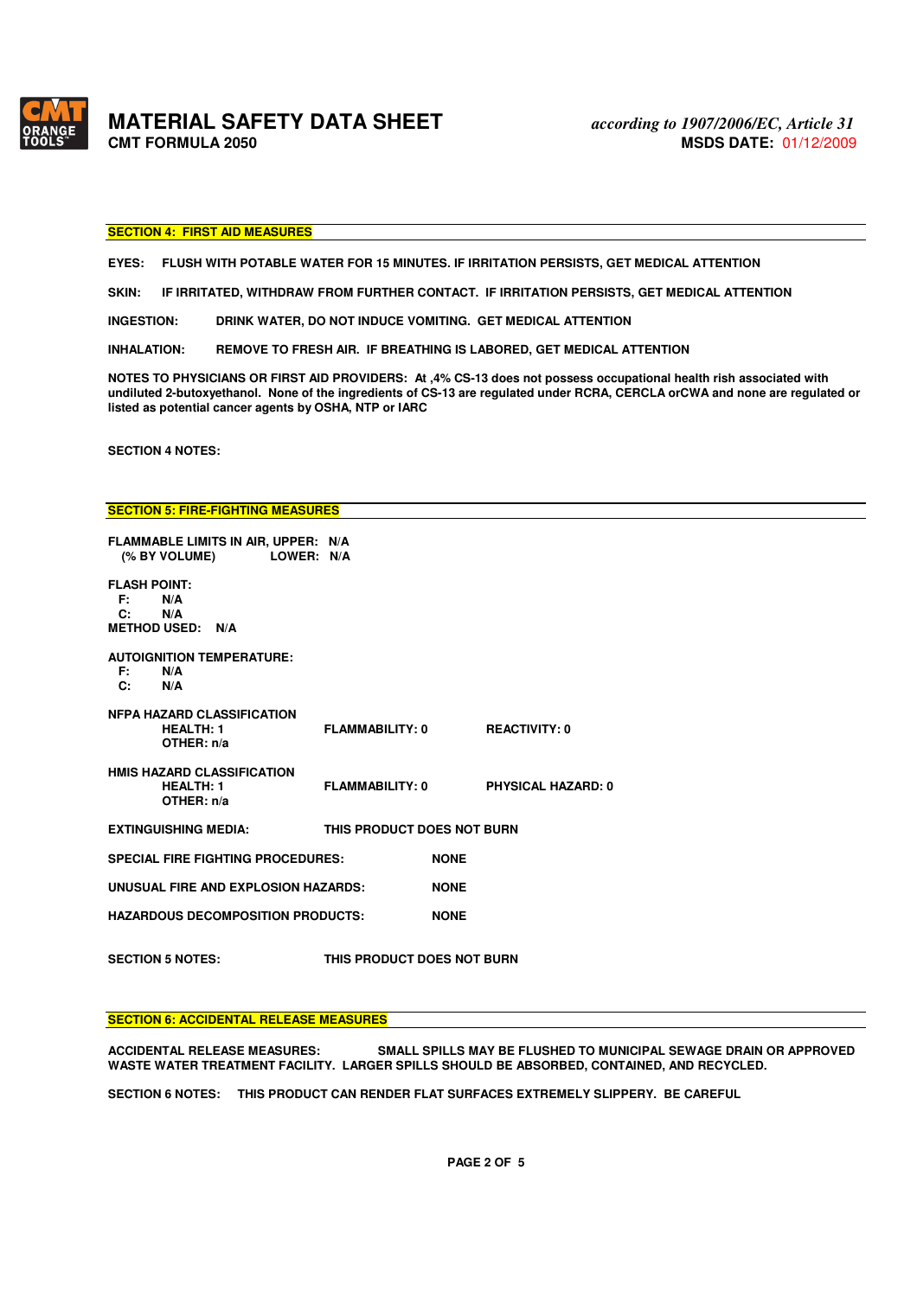

**MATERIAL SAFETY DATA SHEET** *according to 1907/2006/EC, Article 31* 

### **SECTION 4: FIRST AID MEASURES**

**EYES: FLUSH WITH POTABLE WATER FOR 15 MINUTES. IF IRRITATION PERSISTS, GET MEDICAL ATTENTION** 

**SKIN: IF IRRITATED, WITHDRAW FROM FURTHER CONTACT. IF IRRITATION PERSISTS, GET MEDICAL ATTENTION** 

**INGESTION: DRINK WATER, DO NOT INDUCE VOMITING. GET MEDICAL ATTENTION** 

**INHALATION: REMOVE TO FRESH AIR. IF BREATHING IS LABORED, GET MEDICAL ATTENTION** 

**NOTES TO PHYSICIANS OR FIRST AID PROVIDERS: At ,4% CS-13 does not possess occupational health rish associated with undiluted 2-butoxyethanol. None of the ingredients of CS-13 are regulated under RCRA, CERCLA orCWA and none are regulated or listed as potential cancer agents by OSHA, NTP or IARC** 

**SECTION 4 NOTES:** 

**SECTION 5: FIRE-FIGHTING MEASURES** 

|                                               | FLAMMABLE LIMITS IN AIR, UPPER: N/A                                 |                            |             |                           |  |
|-----------------------------------------------|---------------------------------------------------------------------|----------------------------|-------------|---------------------------|--|
|                                               | (% BY VOLUME) LOWER: N/A                                            |                            |             |                           |  |
| <b>FLASH POINT:</b><br>F: N/A<br>$\mathbf{C}$ | N/A                                                                 |                            |             |                           |  |
|                                               | <b>METHOD USED: N/A</b>                                             |                            |             |                           |  |
|                                               | <b>AUTOIGNITION TEMPERATURE:</b>                                    |                            |             |                           |  |
| F: W                                          | N/A                                                                 |                            |             |                           |  |
| C: N/A                                        |                                                                     |                            |             |                           |  |
|                                               | <b>NFPA HAZARD CLASSIFICATION</b><br><b>HEALTH: 1</b>               | FLAMMABILITY: 0            |             | <b>REACTIVITY: 0</b>      |  |
|                                               | OTHER: $n/a$                                                        |                            |             |                           |  |
|                                               | <b>HMIS HAZARD CLASSIFICATION</b><br><b>HEALTH: 1</b><br>OTHER: n/a | FLAMMABILITY: 0            |             | <b>PHYSICAL HAZARD: 0</b> |  |
|                                               | <b>EXTINGUISHING MEDIA:</b>                                         | THIS PRODUCT DOES NOT BURN |             |                           |  |
|                                               | <b>SPECIAL FIRE FIGHTING PROCEDURES:</b>                            |                            | <b>NONE</b> |                           |  |
|                                               | UNUSUAL FIRE AND EXPLOSION HAZARDS:                                 |                            | <b>NONE</b> |                           |  |
|                                               | <b>HAZARDOUS DECOMPOSITION PRODUCTS:</b>                            |                            | <b>NONE</b> |                           |  |
|                                               | <b>SECTION 5 NOTES:</b>                                             | THIS PRODUCT DOES NOT BURN |             |                           |  |

### **SECTION 6: ACCIDENTAL RELEASE MEASURES**

**ACCIDENTAL RELEASE MEASURES: SMALL SPILLS MAY BE FLUSHED TO MUNICIPAL SEWAGE DRAIN OR APPROVED WASTE WATER TREATMENT FACILITY. LARGER SPILLS SHOULD BE ABSORBED, CONTAINED, AND RECYCLED.** 

**SECTION 6 NOTES: THIS PRODUCT CAN RENDER FLAT SURFACES EXTREMELY SLIPPERY. BE CAREFUL**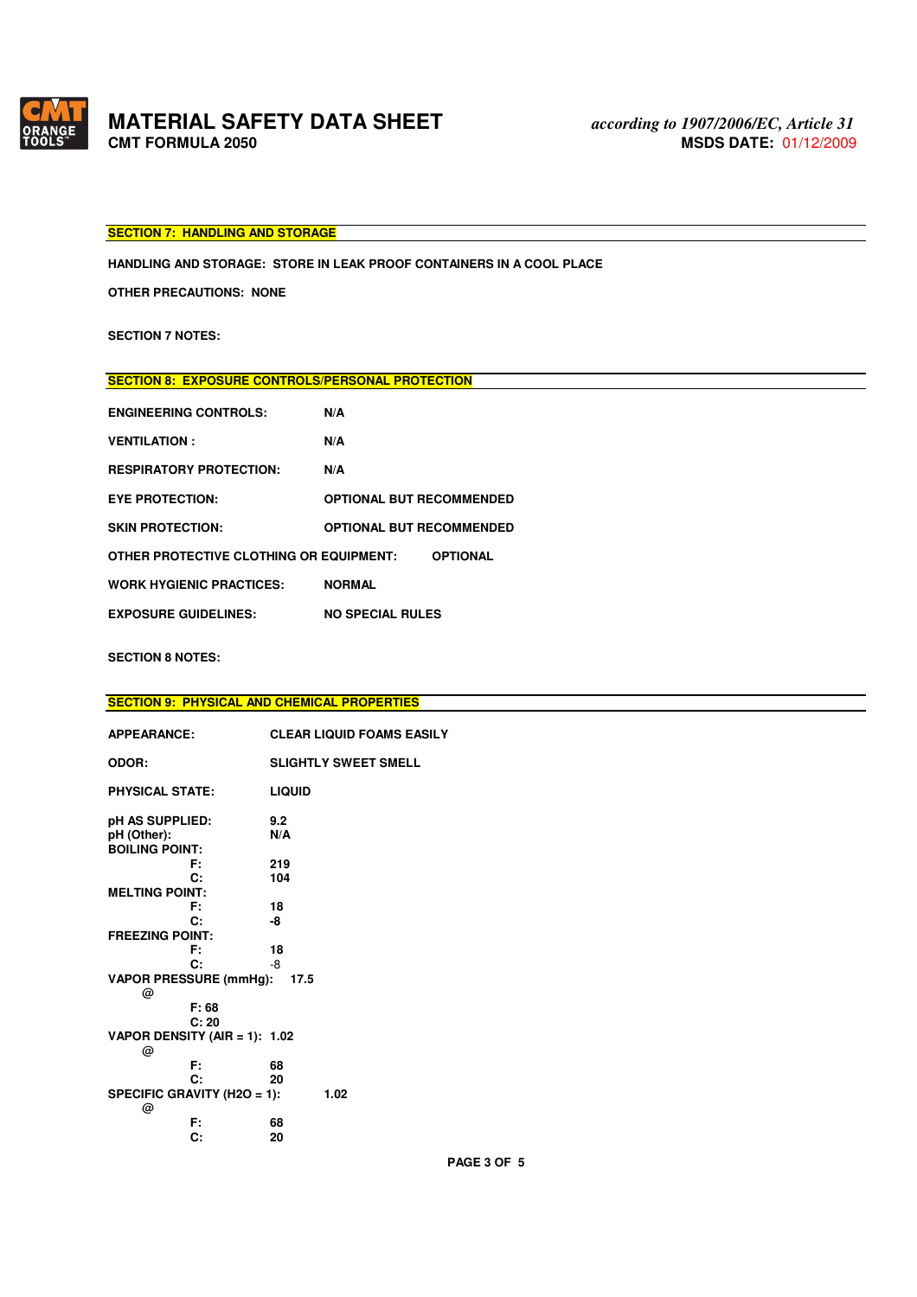

# **MATERIAL SAFETY DATA SHEET**<br>CMT FORMULA 2050

### **SECTION 7: HANDLING AND STORAGE**

**HANDLING AND STORAGE: STORE IN LEAK PROOF CONTAINERS IN A COOL PLACE** 

**OTHER PRECAUTIONS: NONE** 

**SECTION 7 NOTES:** 

# **SECTION 8: EXPOSURE CONTROLS/PERSONAL PROTECTION**

| <b>ENGINEERING CONTROLS:</b>            | N/A                             |
|-----------------------------------------|---------------------------------|
| <b>VENTILATION:</b>                     | N/A                             |
| <b>RESPIRATORY PROTECTION:</b>          | N/A                             |
| <b>EYE PROTECTION:</b>                  | <b>OPTIONAL BUT RECOMMENDED</b> |
| <b>SKIN PROTECTION:</b>                 | <b>OPTIONAL BUT RECOMMENDED</b> |
| OTHER PROTECTIVE CLOTHING OR EQUIPMENT: | <b>OPTIONAL</b>                 |
| <b>WORK HYGIENIC PRACTICES:</b>         | <b>NORMAL</b>                   |
| <b>EXPOSURE GUIDELINES:</b>             | <b>NO SPECIAL RULES</b>         |

### **SECTION 8 NOTES:**

|                               | <b>SECTION 9: PHYSICAL AND CHEMICAL PROPERTIES</b> |
|-------------------------------|----------------------------------------------------|
|                               |                                                    |
| <b>APPEARANCE:</b>            | <b>CLEAR LIQUID FOAMS EASILY</b>                   |
|                               |                                                    |
| ODOR:                         | <b>SLIGHTLY SWEET SMELL</b>                        |
|                               |                                                    |
| <b>PHYSICAL STATE:</b>        | <b>LIQUID</b>                                      |
| pH AS SUPPLIED:               | 9.2                                                |
|                               |                                                    |
| pH (Other):                   | N/A                                                |
| <b>BOILING POINT:</b>         |                                                    |
| F.                            | 219                                                |
| C:                            | 104                                                |
| <b>MELTING POINT:</b>         |                                                    |
| F:                            | 18                                                 |
| C:                            | -8                                                 |
| <b>FREEZING POINT:</b>        |                                                    |
| F.                            | 18                                                 |
| C:                            | -8                                                 |
|                               |                                                    |
| <b>VAPOR PRESSURE (mmHg):</b> | 17.5                                               |
| @                             |                                                    |
| F: 68                         |                                                    |
| C: 20                         |                                                    |
| VAPOR DENSITY (AIR = 1): 1.02 |                                                    |
| @                             |                                                    |
| F:                            | 68                                                 |
| C:                            | 20                                                 |
| SPECIFIC GRAVITY (H2O = 1):   | 1.02                                               |
| @                             |                                                    |
| F:                            | 68                                                 |
| C:                            | 20                                                 |
|                               |                                                    |

**PAGE 3 OF 5**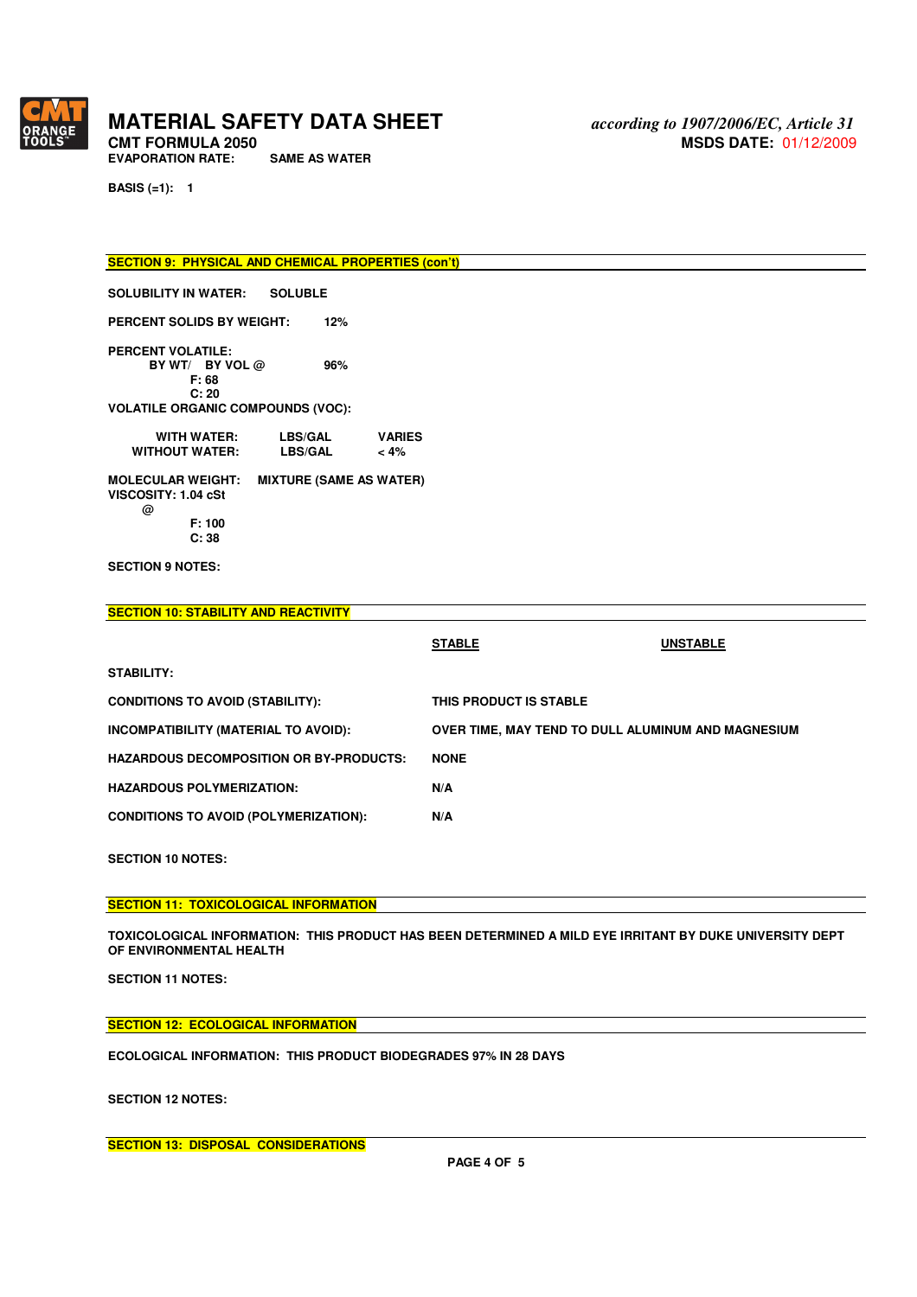

**EVAPORATION RATE:** 

**BASIS (=1): 1** 

**SECTION 9: PHYSICAL AND CHEMICAL PROPERTIES (con't)** 

**SOLUBILITY IN WATER: SOLUBLE** 

**PERCENT SOLIDS BY WEIGHT: 12%** 

**PERCENT VOLATILE: BY WT/ BY VOL @** 96%  **F: 68 C: 20** 

**VOLATILE ORGANIC COMPOUNDS (VOC):** 

| <b>WITH WATER:</b>                                     | <b>LBS/GAL</b>                 | <b>VARIES</b> |
|--------------------------------------------------------|--------------------------------|---------------|
| <b>WITHOUT WATER:</b>                                  | <b>LBS/GAL</b>                 | $< 4\%$       |
| <b>MOLECULAR WEIGHT:</b><br><b>VISCOSITY: 1.04 cSt</b> | <b>MIXTURE (SAME AS WATER)</b> |               |

 **@ F: 100 C: 38** 

**SECTION 9 NOTES:** 

| <b>SECTION 10: STABILITY AND REACTIVITY</b>    |                                                    |                 |
|------------------------------------------------|----------------------------------------------------|-----------------|
|                                                | <b>STABLE</b>                                      | <b>UNSTABLE</b> |
| STABILITY:                                     |                                                    |                 |
| <b>CONDITIONS TO AVOID (STABILITY):</b>        | THIS PRODUCT IS STABLE                             |                 |
| INCOMPATIBILITY (MATERIAL TO AVOID):           | OVER TIME, MAY TEND TO DULL ALUMINUM AND MAGNESIUM |                 |
| <b>HAZARDOUS DECOMPOSITION OR BY-PRODUCTS:</b> | <b>NONE</b>                                        |                 |
| <b>HAZARDOUS POLYMERIZATION:</b>               | N/A                                                |                 |
| <b>CONDITIONS TO AVOID (POLYMERIZATION):</b>   | N/A                                                |                 |
|                                                |                                                    |                 |

**SECTION 10 NOTES:** 

**SECTION 11: TOXICOLOGICAL INFORMATION** 

**TOXICOLOGICAL INFORMATION: THIS PRODUCT HAS BEEN DETERMINED A MILD EYE IRRITANT BY DUKE UNIVERSITY DEPT OF ENVIRONMENTAL HEALTH** 

**SECTION 11 NOTES:** 

**SECTION 12: ECOLOGICAL INFORMATION** 

**ECOLOGICAL INFORMATION: THIS PRODUCT BIODEGRADES 97% IN 28 DAYS** 

**SECTION 12 NOTES:** 

**SECTION 13: DISPOSAL CONSIDERATIONS**